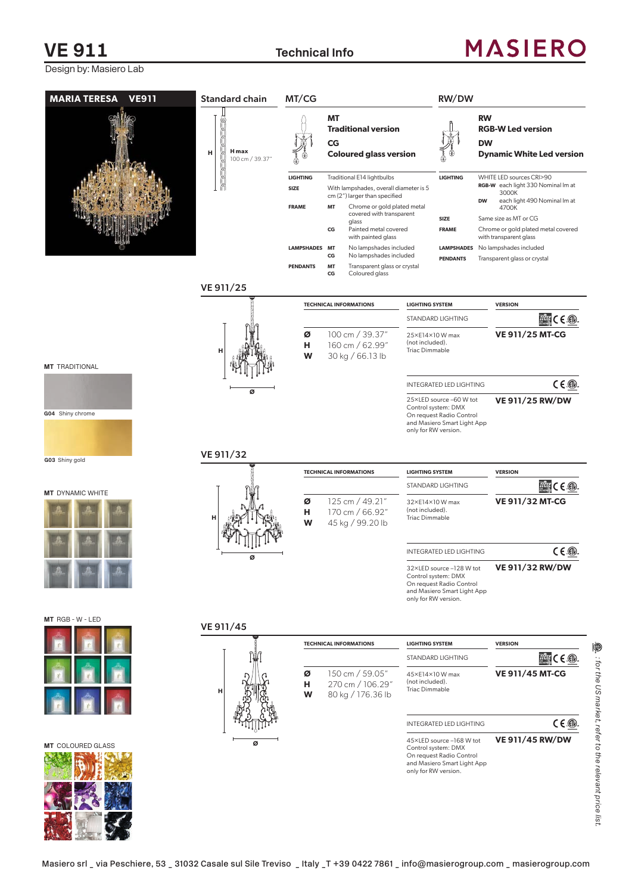## **VE 911** Technical Info

# **MASIERO**

*: for the US market, refer to the relevant price list.*

⑩. : for the US market, refer to the relevant price list

Design by: Masiero Lab

| <b>MARIA TERESA</b><br><b>VE911</b> | <b>Standard chain</b>                | MT/CG                |                                                                                                                                                   |                                                             | RW/DW                                                                                                                                       |                                                                                                                            |
|-------------------------------------|--------------------------------------|----------------------|---------------------------------------------------------------------------------------------------------------------------------------------------|-------------------------------------------------------------|---------------------------------------------------------------------------------------------------------------------------------------------|----------------------------------------------------------------------------------------------------------------------------|
|                                     | <b>H</b> max<br>н<br>100 cm / 39.37" | <b>LIGHTING</b>      | МT<br><b>Traditional version</b><br>CG<br><b>Coloured glass version</b><br>Traditional E14 lightbulbs                                             |                                                             | <b>LIGHTING</b>                                                                                                                             | <b>RW</b><br><b>RGB-W Led version</b><br><b>DW</b><br><b>Dynamic White Led version</b><br>WHITE LED sources CRI>90         |
|                                     |                                      | SIZE<br><b>FRAME</b> | With lampshades, overall diameter is 5<br>cm (2") larger than specified<br>Chrome or gold plated metal<br>MT<br>covered with transparent<br>glass |                                                             | <b>SIZE</b>                                                                                                                                 | RGB-W each light 330 Nominal Im at<br>3000K<br>each light 490 Nominal Im at<br><b>DW</b><br>4700K<br>Same size as MT or CG |
|                                     |                                      |                      | Painted metal covered<br>CG<br>with painted glass                                                                                                 |                                                             | <b>FRAME</b>                                                                                                                                | Chrome or gold plated metal covered<br>with transparent glass                                                              |
|                                     |                                      | LAMPSHADES MT        | No lampshades included<br>No lampshades included<br>CG                                                                                            |                                                             | <b>LAMPSHADES</b><br><b>PENDANTS</b>                                                                                                        | No lampshades included<br>Transparent glass or crystal                                                                     |
|                                     |                                      | <b>PENDANTS</b>      | MT<br>Transparent glass or crystal<br>Coloured glass<br>CG                                                                                        |                                                             |                                                                                                                                             |                                                                                                                            |
|                                     | VE 911/25                            |                      |                                                                                                                                                   |                                                             |                                                                                                                                             |                                                                                                                            |
|                                     |                                      |                      | <b>TECHNICAL INFORMATIONS</b>                                                                                                                     | <b>LIGHTING SYSTEM</b>                                      | STANDARD LIGHTING                                                                                                                           | <b>VERSION</b><br>$T0$ C $\in$ $\circledR$ .                                                                               |
|                                     | н                                    | Ø<br>н<br>W          | 100 cm / 39.37"<br>160 cm / 62.99"<br>30 kg / 66.13 lb                                                                                            | 25×E14×10 W max<br>(not included).<br><b>Triac Dimmable</b> |                                                                                                                                             | <b>VE 911/25 MT-CG</b>                                                                                                     |
| <b>MT</b> TRADITIONAL               |                                      |                      |                                                                                                                                                   |                                                             |                                                                                                                                             |                                                                                                                            |
| G04 Shiny chrome                    | ø                                    |                      |                                                                                                                                                   | only for RW version.                                        | <b>INTEGRATED LED LIGHTING</b><br>25×LED source -60 W tot<br>Control system: DMX<br>On request Radio Control<br>and Masiero Smart Light App | $C \in \circled{m}$<br><b>VE 911/25 RW/DW</b>                                                                              |
| G03 Shiny gold                      | VE 911/32                            |                      |                                                                                                                                                   |                                                             |                                                                                                                                             |                                                                                                                            |
|                                     |                                      |                      | <b>TECHNICAL INFORMATIONS</b>                                                                                                                     | <b>LIGHTING SYSTEM</b>                                      |                                                                                                                                             | <b>VERSION</b>                                                                                                             |
| <b>MT</b> DYNAMIC WHITE             |                                      |                      |                                                                                                                                                   |                                                             | STANDARD LIGHTING                                                                                                                           | $\frac{1}{2}$                                                                                                              |
|                                     |                                      | Ø<br>н<br>W          | 125 cm / 49.21"<br>170 cm / 66.92"<br>45 kg / 99.20 lb                                                                                            | 32×E14×10 W max<br>(not included).<br><b>Triac Dimmable</b> |                                                                                                                                             | <b>VE 911/32 MT-CG</b>                                                                                                     |
|                                     |                                      |                      |                                                                                                                                                   |                                                             | <b>INTEGRATED LED LIGHTING</b>                                                                                                              | $C \in \mathbb{Q}$                                                                                                         |
|                                     |                                      |                      |                                                                                                                                                   | only for RW version.                                        | 32×LED source-128 W tot<br>Control system: DMX<br>On request Radio Control<br>and Masiero Smart Light App                                   | <b>VE 911/32 RW/DW</b>                                                                                                     |
| MT RGB - W - LED                    | VE 911/45                            |                      |                                                                                                                                                   |                                                             |                                                                                                                                             |                                                                                                                            |
|                                     |                                      |                      | <b>TECHNICAL INFORMATIONS</b>                                                                                                                     | <b>LIGHTING SYSTEM</b>                                      |                                                                                                                                             | <b>VERSION</b>                                                                                                             |
|                                     |                                      |                      |                                                                                                                                                   |                                                             | STANDARD LIGHTING                                                                                                                           | $\frac{1}{2}$ and $\frac{1}{2}$ C E $\textcircled{1}$ .                                                                    |
|                                     | н                                    | Ø<br>н<br>W          | 150 cm / 59.05"<br>270 cm / 106.29"<br>80 kg / 176.36 lb                                                                                          | 45×E14×10W max<br>(not included).<br><b>Triac Dimmable</b>  |                                                                                                                                             | <b>VE 911/45 MT-CG</b>                                                                                                     |
|                                     |                                      |                      |                                                                                                                                                   |                                                             | <b>INTEGRATED LED LIGHTING</b>                                                                                                              | $C \in \mathbb{Q}$                                                                                                         |
| <b>MT</b> COLOURED GLASS            | ø                                    |                      |                                                                                                                                                   | only for RW version.                                        | 45×LED source -168 W tot<br>Control system: DMX<br>On request Radio Control<br>and Masiero Smart Light App                                  | <b>VE 911/45 RW/DW</b>                                                                                                     |
|                                     |                                      |                      |                                                                                                                                                   |                                                             |                                                                                                                                             |                                                                                                                            |